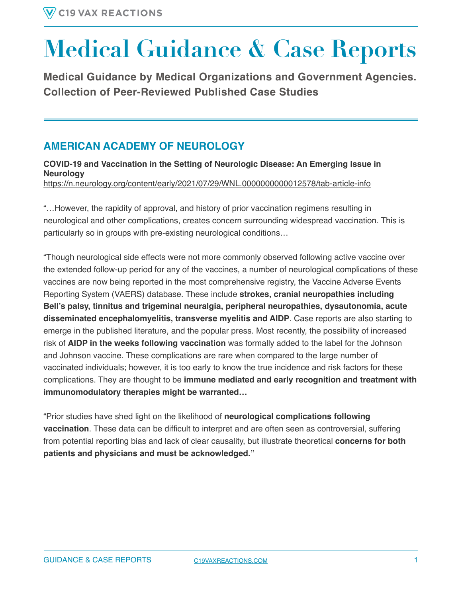# **Medical Guidance & Case Reports**

**Medical Guidance by Medical Organizations and Government Agencies. Collection of Peer-Reviewed Published Case Studies** 

## **AMERICAN ACADEMY OF NEUROLOGY**

**COVID-19 and Vaccination in the Setting of Neurologic Disease: An Emerging Issue in Neurology**  <https://n.neurology.org/content/early/2021/07/29/WNL.0000000000012578/tab-article-info>

"…However, the rapidity of approval, and history of prior vaccination regimens resulting in neurological and other complications, creates concern surrounding widespread vaccination. This is particularly so in groups with pre-existing neurological conditions…

"Though neurological side effects were not more commonly observed following active vaccine over the extended follow-up period for any of the vaccines, a number of neurological complications of these vaccines are now being reported in the most comprehensive registry, the Vaccine Adverse Events Reporting System (VAERS) database. These include **strokes, cranial neuropathies including Bell's palsy, tinnitus and trigeminal neuralgia, peripheral neuropathies, dysautonomia, acute disseminated encephalomyelitis, transverse myelitis and AIDP**. Case reports are also starting to emerge in the published literature, and the popular press. Most recently, the possibility of increased risk of **AIDP in the weeks following vaccination** was formally added to the label for the Johnson and Johnson vaccine. These complications are rare when compared to the large number of vaccinated individuals; however, it is too early to know the true incidence and risk factors for these complications. They are thought to be **immune mediated and early recognition and treatment with immunomodulatory therapies might be warranted…**

"Prior studies have shed light on the likelihood of **neurological complications following vaccination**. These data can be difficult to interpret and are often seen as controversial, suffering from potential reporting bias and lack of clear causality, but illustrate theoretical **concerns for both patients and physicians and must be acknowledged."**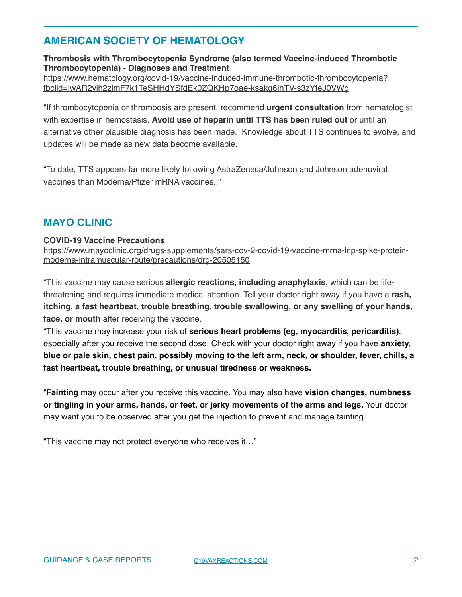## **AMERICAN SOCIETY OF HEMATOLOGY**

**Thrombosis with Thrombocytopenia Syndrome (also termed Vaccine-induced Thrombotic Thrombocytopenia) - Diagnoses and Treatment** 

[https://www.hematology.org/covid-19/vaccine-induced-immune-thrombotic-thrombocytopenia?](https://www.hematology.org/covid-19/vaccine-induced-immune-thrombotic-thrombocytopenia?fbclid=IwAR2vih2zjmF7k1TeSHHdYSfdEk0ZQKHp7oae-ksakg6IhTV-s3zYfeJ0VWg) [fbclid=IwAR2vih2zjmF7k1TeSHHdYSfdEk0ZQKHp7oae-ksakg6IhTV-s3zYfeJ0VWg](https://www.hematology.org/covid-19/vaccine-induced-immune-thrombotic-thrombocytopenia?fbclid=IwAR2vih2zjmF7k1TeSHHdYSfdEk0ZQKHp7oae-ksakg6IhTV-s3zYfeJ0VWg)

"If thrombocytopenia or thrombosis are present, recommend **urgent consultation** from hematologist with expertise in hemostasis. **Avoid use of heparin until TTS has been ruled out** or until an alternative other plausible diagnosis has been made. Knowledge about TTS continues to evolve, and updates will be made as new data become available.

"To date, TTS appears far more likely following AstraZeneca/Johnson and Johnson adenoviral vaccines than Moderna/Pfizer mRNA vaccines.."

## **MAYO CLINIC**

#### **COVID-19 Vaccine Precautions**

[https://www.mayoclinic.org/drugs-supplements/sars-cov-2-covid-19-vaccine-mrna-lnp-spike-protein](https://www.mayoclinic.org/drugs-supplements/sars-cov-2-covid-19-vaccine-mrna-lnp-spike-protein-moderna-intramuscular-route/precautions/drg-20505150)[moderna-intramuscular-route/precautions/drg-20505150](https://www.mayoclinic.org/drugs-supplements/sars-cov-2-covid-19-vaccine-mrna-lnp-spike-protein-moderna-intramuscular-route/precautions/drg-20505150)

"This vaccine may cause serious **allergic reactions, including anaphylaxis,** which can be lifethreatening and requires immediate medical attention. Tell your doctor right away if you have a **rash, itching, a fast heartbeat, trouble breathing, trouble swallowing, or any swelling of your hands, face, or mouth** after receiving the vaccine.

"This vaccine may increase your risk of **serious heart problems (eg, myocarditis, pericarditis)**, especially after you receive the second dose. Check with your doctor right away if you have **anxiety, blue or pale skin, chest pain, possibly moving to the left arm, neck, or shoulder, fever, chills, a fast heartbeat, trouble breathing, or unusual tiredness or weakness.** 

"**Fainting** may occur after you receive this vaccine. You may also have **vision changes, numbness or tingling in your arms, hands, or feet, or jerky movements of the arms and legs.** Your doctor may want you to be observed after you get the injection to prevent and manage fainting.

"This vaccine may not protect everyone who receives it…"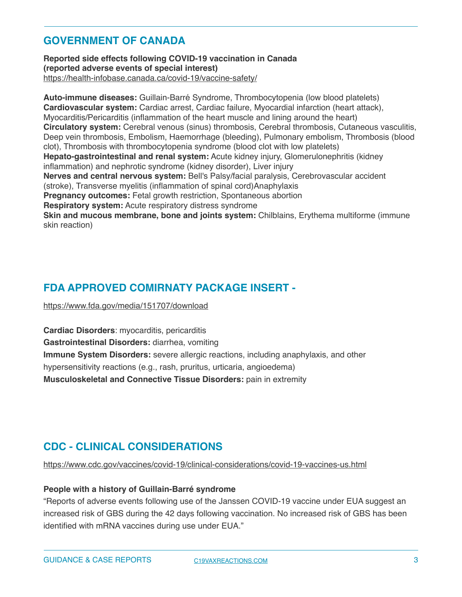### **GOVERNMENT OF CANADA**

**Reported side effects following COVID-19 vaccination in Canada (reported adverse events of special interest)**  <https://health-infobase.canada.ca/covid-19/vaccine-safety/>

**Auto-immune diseases:** Guillain-Barré Syndrome, Thrombocytopenia (low blood platelets) **Cardiovascular system:** Cardiac arrest, Cardiac failure, Myocardial infarction (heart attack), Myocarditis/Pericarditis (inflammation of the heart muscle and lining around the heart) **Circulatory system:** Cerebral venous (sinus) thrombosis, Cerebral thrombosis, Cutaneous vasculitis, Deep vein thrombosis, Embolism, Haemorrhage (bleeding), Pulmonary embolism, Thrombosis (blood clot), Thrombosis with thrombocytopenia syndrome (blood clot with low platelets) **Hepato-gastrointestinal and renal system:** Acute kidney injury, Glomerulonephritis (kidney inflammation) and nephrotic syndrome (kidney disorder), Liver injury **Nerves and central nervous system:** Bell's Palsy/facial paralysis, Cerebrovascular accident (stroke), Transverse myelitis (inflammation of spinal cord)Anaphylaxis **Pregnancy outcomes:** Fetal growth restriction, Spontaneous abortion **Respiratory system:** Acute respiratory distress syndrome **Skin and mucous membrane, bone and joints system:** Chilblains, Erythema multiforme (immune skin reaction)

## **FDA APPROVED COMIRNATY PACKAGE INSERT -**

<https://www.fda.gov/media/151707/download>

**Cardiac Disorders**: myocarditis, pericarditis **Gastrointestinal Disorders:** diarrhea, vomiting **Immune System Disorders:** severe allergic reactions, including anaphylaxis, and other hypersensitivity reactions (e.g., rash, pruritus, urticaria, angioedema) **Musculoskeletal and Connective Tissue Disorders:** pain in extremity

## **CDC - CLINICAL CONSIDERATIONS**

<https://www.cdc.gov/vaccines/covid-19/clinical-considerations/covid-19-vaccines-us.html>

#### **People with a history of Guillain-Barré syndrome**

"Reports of adverse events following use of the Janssen COVID-19 vaccine under EUA suggest an increased risk of GBS during the 42 days following vaccination. No increased risk of GBS has been identified with mRNA vaccines during use under EUA."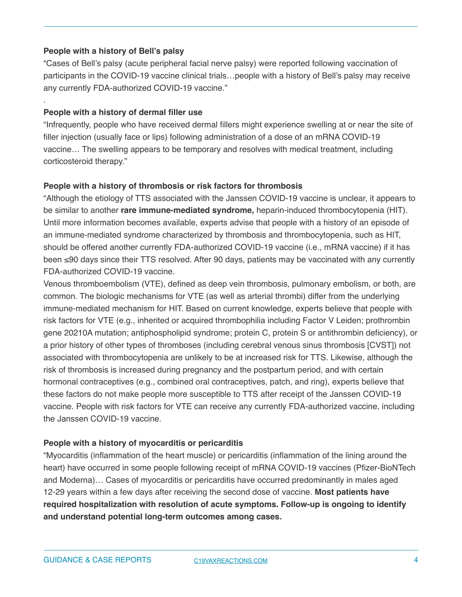#### **People with a history of Bell's palsy**

.

"Cases of Bell's palsy (acute peripheral facial nerve palsy) were reported following vaccination of participants in the COVID-19 vaccine clinical trials…people with a history of Bell's palsy may receive any currently FDA-authorized COVID-19 vaccine."

#### **People with a history of dermal filler use**

"Infrequently, people who have received dermal fillers might experience swelling at or near the site of filler injection (usually face or lips) following administration of a dose of an mRNA COVID-19 vaccine… The swelling appears to be temporary and resolves with medical treatment, including corticosteroid therapy."

#### **People with a history of thrombosis or risk factors for thrombosis**

"Although the etiology of TTS associated with the Janssen COVID-19 vaccine is unclear, it appears to be similar to another **rare immune-mediated syndrome,** heparin-induced thrombocytopenia (HIT). Until more information becomes available, experts advise that people with a history of an episode of an immune-mediated syndrome characterized by thrombosis and thrombocytopenia, such as HIT, should be offered another currently FDA-authorized COVID-19 vaccine (i.e., mRNA vaccine) if it has been ≤90 days since their TTS resolved. After 90 days, patients may be vaccinated with any currently FDA-authorized COVID-19 vaccine.

Venous thromboembolism (VTE), defined as deep vein thrombosis, pulmonary embolism, or both, are common. The biologic mechanisms for VTE (as well as arterial thrombi) differ from the underlying immune-mediated mechanism for HIT. Based on current knowledge, experts believe that people with risk factors for VTE (e.g., inherited or acquired thrombophilia including Factor V Leiden; prothrombin gene 20210A mutation; antiphospholipid syndrome; protein C, protein S or antithrombin deficiency), or a prior history of other types of thromboses (including cerebral venous sinus thrombosis [CVST]) not associated with thrombocytopenia are unlikely to be at increased risk for TTS. Likewise, although the risk of thrombosis is increased during pregnancy and the postpartum period, and with certain hormonal contraceptives (e.g., combined oral contraceptives, patch, and ring), experts believe that these factors do not make people more susceptible to TTS after receipt of the Janssen COVID-19 vaccine. People with risk factors for VTE can receive any currently FDA-authorized vaccine, including the Janssen COVID-19 vaccine.

#### **People with a history of myocarditis or pericarditis**

"Myocarditis (inflammation of the heart muscle) or pericarditis (inflammation of the lining around the heart) have occurred in some people following receipt of mRNA COVID-19 vaccines (Pfizer-BioNTech and Moderna)… Cases of myocarditis or pericarditis have occurred predominantly in males aged 12-29 years within a few days after receiving the second dose of vaccine. **Most patients have required hospitalization with resolution of acute symptoms. Follow-up is ongoing to identify and understand potential long-term outcomes among cases.**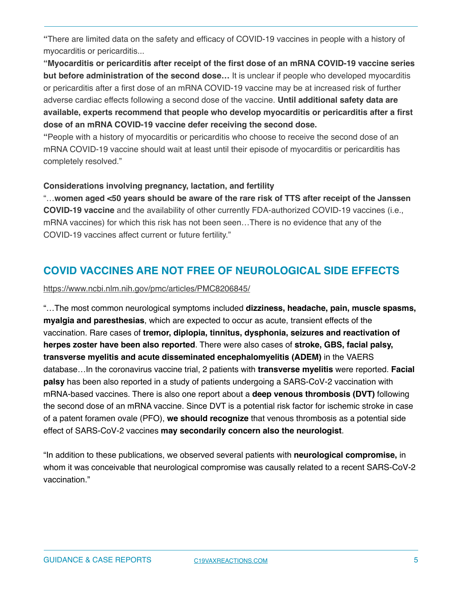**"**There are limited data on the safety and efficacy of COVID-19 vaccines in people with a history of myocarditis or pericarditis...

**"Myocarditis or pericarditis after receipt of the first dose of an mRNA COVID-19 vaccine series but before administration of the second dose…** It is unclear if people who developed myocarditis or pericarditis after a first dose of an mRNA COVID-19 vaccine may be at increased risk of further adverse cardiac effects following a second dose of the vaccine. **Until additional safety data are available, experts recommend that people who develop myocarditis or pericarditis after a first dose of an mRNA COVID-19 vaccine defer receiving the second dose.** 

**"**People with a history of myocarditis or pericarditis who choose to receive the second dose of an mRNA COVID-19 vaccine should wait at least until their episode of myocarditis or pericarditis has completely resolved."

#### **Considerations involving pregnancy, lactation, and fertility**

"…**women aged <50 years should be aware of the rare risk of TTS after receipt of the Janssen COVID-19 vaccine** and the availability of other currently FDA-authorized COVID-19 vaccines (i.e., mRNA vaccines) for which this risk has not been seen…There is no evidence that any of the COVID-19 vaccines affect current or future fertility."

## **COVID VACCINES ARE NOT FREE OF NEUROLOGICAL SIDE EFFECTS**

<https://www.ncbi.nlm.nih.gov/pmc/articles/PMC8206845/>

"…The most common neurological symptoms included **dizziness, headache, pain, muscle spasms, myalgia and paresthesias**, which are expected to occur as acute, transient effects of the vaccination. Rare cases of **tremor, diplopia, tinnitus, dysphonia, seizures and reactivation of herpes zoster have been also reported**. There were also cases of **stroke, GBS, facial palsy, transverse myelitis and acute disseminated encephalomyelitis (ADEM)** in the VAERS database…In the coronavirus vaccine trial, 2 patients with **transverse myelitis** were reported. **Facial palsy** has been also reported in a study of patients undergoing a SARS‐CoV‐2 vaccination with mRNA‐based vaccines. There is also one report about a **deep venous thrombosis (DVT)** following the second dose of an mRNA vaccine. Since DVT is a potential risk factor for ischemic stroke in case of a patent foramen ovale (PFO), **we should recognize** that venous thrombosis as a potential side effect of SARS‐CoV‐2 vaccines **may secondarily concern also the neurologist**.

"In addition to these publications, we observed several patients with **neurological compromise,** in whom it was conceivable that neurological compromise was causally related to a recent SARS‐CoV‐2 vaccination."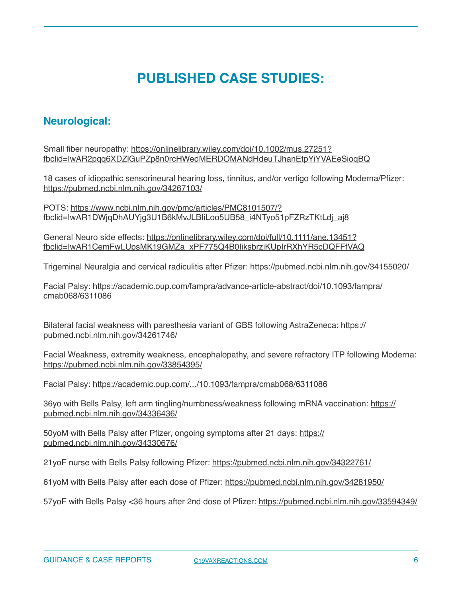## **PUBLISHED CASE STUDIES:**

## **Neurological:**

Small fiber neuropathy: [https://onlinelibrary.wiley.com/doi/10.1002/mus.27251?](https://onlinelibrary.wiley.com/doi/10.1002/mus.27251?fbclid=IwAR2pqq6XDZlGuPZp8n0rcHWedMERDOMANdHdeuTJhanEtpYiYVAEeSioqBQ) [fbclid=IwAR2pqq6XDZlGuPZp8n0rcHWedMERDOMANdHdeuTJhanEtpYiYVAEeSioqBQ](https://onlinelibrary.wiley.com/doi/10.1002/mus.27251?fbclid=IwAR2pqq6XDZlGuPZp8n0rcHWedMERDOMANdHdeuTJhanEtpYiYVAEeSioqBQ)

18 cases of idiopathic sensorineural hearing loss, tinnitus, and/or vertigo following Moderna/Pfizer: <https://pubmed.ncbi.nlm.nih.gov/34267103/>

POTS: [https://www.ncbi.nlm.nih.gov/pmc/articles/PMC8101507/?](https://www.ncbi.nlm.nih.gov/pmc/articles/PMC8101507/?fbclid=IwAR1DWjqDhAUYjg3U1B6kMvJLBIiLoo5UB58_i4NTyo51pFZRzTKtLdj_aj8) [fbclid=IwAR1DWjqDhAUYjg3U1B6kMvJLBIiLoo5UB58\\_i4NTyo51pFZRzTKtLdj\\_aj8](https://www.ncbi.nlm.nih.gov/pmc/articles/PMC8101507/?fbclid=IwAR1DWjqDhAUYjg3U1B6kMvJLBIiLoo5UB58_i4NTyo51pFZRzTKtLdj_aj8)

General Neuro side effects: [https://onlinelibrary.wiley.com/doi/full/10.1111/ane.13451?](https://onlinelibrary.wiley.com/doi/full/10.1111/ane.13451?fbclid=IwAR1CemFwLUpsMK19GMZa_xPF775Q4B0IiksbrziKUpIrRXhYR5cDQFFfVAQ) [fbclid=IwAR1CemFwLUpsMK19GMZa\\_xPF775Q4B0IiksbrziKUpIrRXhYR5cDQFFfVAQ](https://onlinelibrary.wiley.com/doi/full/10.1111/ane.13451?fbclid=IwAR1CemFwLUpsMK19GMZa_xPF775Q4B0IiksbrziKUpIrRXhYR5cDQFFfVAQ)

Trigeminal Neuralgia and cervical radiculitis after Pfizer: <https://pubmed.ncbi.nlm.nih.gov/34155020/>

Facial Palsy: https://academic.oup.com/fampra/advance-article-abstract/doi/10.1093/fampra/ cmab068/6311086

Bilateral facial weakness with paresthesia variant of GBS following AstraZeneca: [https://](https://pubmed.ncbi.nlm.nih.gov/34261746/) [pubmed.ncbi.nlm.nih.gov/34261746/](https://pubmed.ncbi.nlm.nih.gov/34261746/)

Facial Weakness, extremity weakness, encephalopathy, and severe refractory ITP following Moderna: <https://pubmed.ncbi.nlm.nih.gov/33854395/>

Facial Palsy:<https://academic.oup.com/.../10.1093/fampra/cmab068/6311086>

36yo with Bells Palsy, left arm tingling/numbness/weakness following mRNA vaccination: [https://](https://pubmed.ncbi.nlm.nih.gov/34336436/) [pubmed.ncbi.nlm.nih.gov/34336436/](https://pubmed.ncbi.nlm.nih.gov/34336436/)

50yoM with Bells Palsy after Pfizer, ongoing symptoms after 21 days: [https://](https://pubmed.ncbi.nlm.nih.gov/34330676/) [pubmed.ncbi.nlm.nih.gov/34330676/](https://pubmed.ncbi.nlm.nih.gov/34330676/)

21yoF nurse with Bells Palsy following Pfizer:<https://pubmed.ncbi.nlm.nih.gov/34322761/>

61yoM with Bells Palsy after each dose of Pfizer:<https://pubmed.ncbi.nlm.nih.gov/34281950/>

57yoF with Bells Palsy <36 hours after 2nd dose of Pfizer: <https://pubmed.ncbi.nlm.nih.gov/33594349/>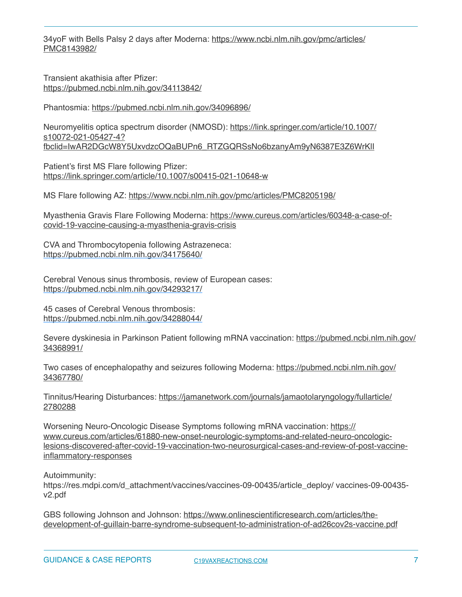34yoF with Bells Palsy 2 days after Moderna: [https://www.ncbi.nlm.nih.gov/pmc/articles/](https://www.ncbi.nlm.nih.gov/pmc/articles/PMC8143982/) [PMC8143982/](https://www.ncbi.nlm.nih.gov/pmc/articles/PMC8143982/)

Transient akathisia after Pfizer: <https://pubmed.ncbi.nlm.nih.gov/34113842/>

Phantosmia: <https://pubmed.ncbi.nlm.nih.gov/34096896/>

Neuromyelitis optica spectrum disorder (NMOSD): [https://link.springer.com/article/10.1007/](https://link.springer.com/article/10.1007/s10072-021-05427-4?fbclid=IwAR2DGcW8Y5UxvdzcOQaBUPn6_RTZGQRSsNo6bzanyAm9yN6387E3Z6WrKlI) [s10072-021-05427-4?](https://link.springer.com/article/10.1007/s10072-021-05427-4?fbclid=IwAR2DGcW8Y5UxvdzcOQaBUPn6_RTZGQRSsNo6bzanyAm9yN6387E3Z6WrKlI) [fbclid=IwAR2DGcW8Y5UxvdzcOQaBUPn6\\_RTZGQRSsNo6bzanyAm9yN6387E3Z6WrKlI](https://link.springer.com/article/10.1007/s10072-021-05427-4?fbclid=IwAR2DGcW8Y5UxvdzcOQaBUPn6_RTZGQRSsNo6bzanyAm9yN6387E3Z6WrKlI)

Patient's first MS Flare following Pfizer: <https://link.springer.com/article/10.1007/s00415-021-10648-w>

MS Flare following AZ: <https://www.ncbi.nlm.nih.gov/pmc/articles/PMC8205198/>

[Myasthenia Gravis Flare Following Moderna: https://www.cureus.com/articles/60348-a-case-of](https://www.cureus.com/articles/60348-a-case-of-covid-19-vaccine-causing-a-myasthenia-gravis-crisis)[covid-19-vaccine-causing-a-myasthenia-gravis-crisis](https://www.cureus.com/articles/60348-a-case-of-covid-19-vaccine-causing-a-myasthenia-gravis-crisis)

CVA and Thrombocytopenia following Astrazeneca: https://pubmed.ncbi.nlm.nih.gov/34175640/

Cerebral Venous sinus thrombosis, review of European cases: https://pubmed.ncbi.nlm.nih.gov/34293217/

45 cases of Cerebral Venous thrombosis: https://pubmed.ncbi.nlm.nih.gov/34288044/

Severe dyskinesia in Parkinson Patient following mRNA vaccination: [https://pubmed.ncbi.nlm.nih.gov/](https://pubmed.ncbi.nlm.nih.gov/34368991/) [34368991/](https://pubmed.ncbi.nlm.nih.gov/34368991/)

Two cases of encephalopathy and seizures following Moderna: [https://pubmed.ncbi.nlm.nih.gov/](https://pubmed.ncbi.nlm.nih.gov/34367780/) [34367780/](https://pubmed.ncbi.nlm.nih.gov/34367780/)

Tinnitus/Hearing Disturbances: [https://jamanetwork.com/journals/jamaotolaryngology/fullarticle/](https://jamanetwork.com/journals/jamaotolaryngology/fullarticle/2780288) [2780288](https://jamanetwork.com/journals/jamaotolaryngology/fullarticle/2780288)

Worsening Neuro-Oncologic Disease Symptoms following mRNA vaccination: [https://](https://www.cureus.com/articles/61880-new-onset-neurologic-symptoms-and-related-neuro-oncologic-lesions-discovered-after-covid-19-vaccination-two-neurosurgical-cases-and-review-of-post-vaccine-inflammatory-responses) [www.cureus.com/articles/61880-new-onset-neurologic-symptoms-and-related-neuro-oncologic](https://www.cureus.com/articles/61880-new-onset-neurologic-symptoms-and-related-neuro-oncologic-lesions-discovered-after-covid-19-vaccination-two-neurosurgical-cases-and-review-of-post-vaccine-inflammatory-responses)[lesions-discovered-after-covid-19-vaccination-two-neurosurgical-cases-and-review-of-post-vaccine](https://www.cureus.com/articles/61880-new-onset-neurologic-symptoms-and-related-neuro-oncologic-lesions-discovered-after-covid-19-vaccination-two-neurosurgical-cases-and-review-of-post-vaccine-inflammatory-responses)[inflammatory-responses](https://www.cureus.com/articles/61880-new-onset-neurologic-symptoms-and-related-neuro-oncologic-lesions-discovered-after-covid-19-vaccination-two-neurosurgical-cases-and-review-of-post-vaccine-inflammatory-responses)

Autoimmunity:

https://res.mdpi.com/d\_attachment/vaccines/vaccines-09-00435/article\_deploy/ vaccines-09-00435 v2.pdf

GBS following Johnson and Johnson: [https://www.onlinescientificresearch.com/articles/the](https://www.onlinescientificresearch.com/articles/the-development-of-guillain-barre-syndrome-subsequent-to-administration-of-ad26cov2s-vaccine.pdf)[development-of-guillain-barre-syndrome-subsequent-to-administration-of-ad26cov2s-vaccine.pdf](https://www.onlinescientificresearch.com/articles/the-development-of-guillain-barre-syndrome-subsequent-to-administration-of-ad26cov2s-vaccine.pdf)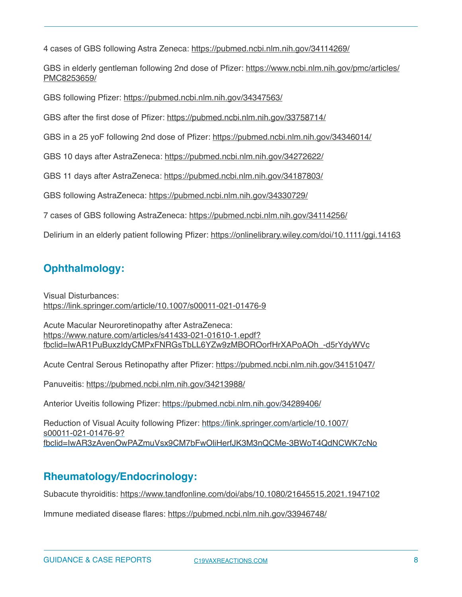4 cases of GBS following Astra Zeneca: <https://pubmed.ncbi.nlm.nih.gov/34114269/>

GBS in elderly gentleman following 2nd dose of Pfizer: [https://www.ncbi.nlm.nih.gov/pmc/articles/](https://www.ncbi.nlm.nih.gov/pmc/articles/PMC8253659/) [PMC8253659/](https://www.ncbi.nlm.nih.gov/pmc/articles/PMC8253659/)

GBS following Pfizer: <https://pubmed.ncbi.nlm.nih.gov/34347563/>

GBS after the first dose of Pfizer:<https://pubmed.ncbi.nlm.nih.gov/33758714/>

GBS in a 25 yoF following 2nd dose of Pfizer:<https://pubmed.ncbi.nlm.nih.gov/34346014/>

GBS 10 days after AstraZeneca:<https://pubmed.ncbi.nlm.nih.gov/34272622/>

GBS 11 days after AstraZeneca: <https://pubmed.ncbi.nlm.nih.gov/34187803/>

GBS following AstraZeneca: <https://pubmed.ncbi.nlm.nih.gov/34330729/>

7 cases of GBS following AstraZeneca: <https://pubmed.ncbi.nlm.nih.gov/34114256/>

Delirium in an elderly patient following Pfizer: <https://onlinelibrary.wiley.com/doi/10.1111/ggi.14163>

## **Ophthalmology:**

Visual Disturbances: <https://link.springer.com/article/10.1007/s00011-021-01476-9>

Acute Macular Neuroretinopathy after AstraZeneca: [https://www.nature.com/articles/s41433-021-01610-1.epdf?](https://www.nature.com/articles/s41433-021-01610-1.epdf?fbclid=IwAR1PuBuxzIdyCMPxFNRGsTbLL6YZw9zMBOROorfHrXAPoAOh_-d5rYdyWVc) [fbclid=IwAR1PuBuxzIdyCMPxFNRGsTbLL6YZw9zMBOROorfHrXAPoAOh\\_-d5rYdyWVc](https://www.nature.com/articles/s41433-021-01610-1.epdf?fbclid=IwAR1PuBuxzIdyCMPxFNRGsTbLL6YZw9zMBOROorfHrXAPoAOh_-d5rYdyWVc)

Acute Central Serous Retinopathy after Pfizer:<https://pubmed.ncbi.nlm.nih.gov/34151047/>

Panuveitis:<https://pubmed.ncbi.nlm.nih.gov/34213988/>

Anterior Uveitis following Pfizer: https://pubmed.ncbi.nlm.nih.gov/34289406/

Reduction of Visual Acuity following Pfizer: https://link.springer.com/article/10.1007/ s00011-021-01476-9? fbclid=IwAR3zAvenOwPAZmuVsx9CM7bFwOliHerfJK3M3nQCMe-3BWoT4QdNCWK7cNo

#### **Rheumatology/Endocrinology:**

Subacute thyroiditis: <https://www.tandfonline.com/doi/abs/10.1080/21645515.2021.1947102>

Immune mediated disease flares: <https://pubmed.ncbi.nlm.nih.gov/33946748/>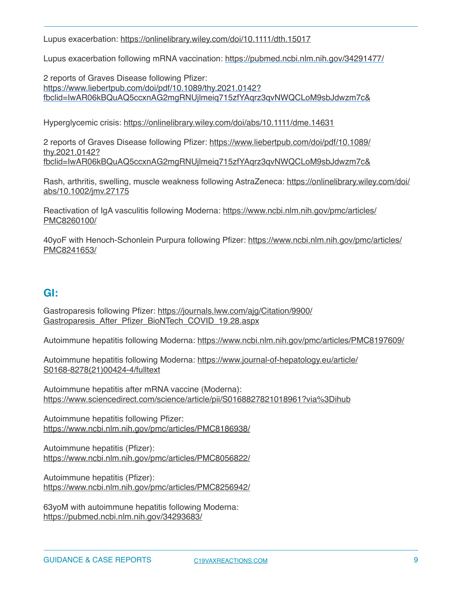Lupus exacerbation: <https://onlinelibrary.wiley.com/doi/10.1111/dth.15017>

Lupus exacerbation following mRNA vaccination: https://pubmed.ncbi.nlm.nih.gov/34291477/

2 reports of Graves Disease following Pfizer: [https://www.liebertpub.com/doi/pdf/10.1089/thy.2021.0142?](https://www.liebertpub.com/doi/pdf/10.1089/thy.2021.0142?fbclid=IwAR06kBQuAQ5ccxnAG2mgRNUjlmeiq715zfYAqrz3qvNWQCLoM9sbJdwzm7c&) [fbclid=IwAR06kBQuAQ5ccxnAG2mgRNUjlmeiq715zfYAqrz3qvNWQCLoM9sbJdwzm7c&](https://www.liebertpub.com/doi/pdf/10.1089/thy.2021.0142?fbclid=IwAR06kBQuAQ5ccxnAG2mgRNUjlmeiq715zfYAqrz3qvNWQCLoM9sbJdwzm7c&) 

Hyperglycemic crisis: <https://onlinelibrary.wiley.com/doi/abs/10.1111/dme.14631>

2 reports of Graves Disease following Pfizer: [https://www.liebertpub.com/doi/pdf/10.1089/](https://www.liebertpub.com/doi/pdf/10.1089/thy.2021.0142?fbclid=IwAR06kBQuAQ5ccxnAG2mgRNUjlmeiq715zfYAqrz3qvNWQCLoM9sbJdwzm7c&) [thy.2021.0142?](https://www.liebertpub.com/doi/pdf/10.1089/thy.2021.0142?fbclid=IwAR06kBQuAQ5ccxnAG2mgRNUjlmeiq715zfYAqrz3qvNWQCLoM9sbJdwzm7c&) [fbclid=IwAR06kBQuAQ5ccxnAG2mgRNUjlmeiq715zfYAqrz3qvNWQCLoM9sbJdwzm7c&](https://www.liebertpub.com/doi/pdf/10.1089/thy.2021.0142?fbclid=IwAR06kBQuAQ5ccxnAG2mgRNUjlmeiq715zfYAqrz3qvNWQCLoM9sbJdwzm7c&)

Rash, arthritis, swelling, muscle weakness following AstraZeneca: [https://onlinelibrary.wiley.com/doi/](https://onlinelibrary.wiley.com/doi/abs/10.1002/jmv.27175) [abs/10.1002/jmv.27175](https://onlinelibrary.wiley.com/doi/abs/10.1002/jmv.27175)

Reactivation of IgA vasculitis following Moderna: [https://www.ncbi.nlm.nih.gov/pmc/articles/](https://www.ncbi.nlm.nih.gov/pmc/articles/PMC8260100/) [PMC8260100/](https://www.ncbi.nlm.nih.gov/pmc/articles/PMC8260100/)

40yoF with Henoch-Schonlein Purpura following Pfizer: [https://www.ncbi.nlm.nih.gov/pmc/articles/](https://www.ncbi.nlm.nih.gov/pmc/articles/PMC8241653/) [PMC8241653/](https://www.ncbi.nlm.nih.gov/pmc/articles/PMC8241653/)

#### **GI:**

[Gastroparesis following Pfizer: https://journals.lww.com/ajg/Citation/9900/](https://journals.lww.com/ajg/Citation/9900/Gastroparesis_After_Pfizer_BioNTech_COVID_19.28.aspx) [Gastroparesis\\_After\\_Pfizer\\_BioNTech\\_COVID\\_19.28.aspx](https://journals.lww.com/ajg/Citation/9900/Gastroparesis_After_Pfizer_BioNTech_COVID_19.28.aspx)

Autoimmune hepatitis following Moderna: <https://www.ncbi.nlm.nih.gov/pmc/articles/PMC8197609/>

Autoimmune hepatitis following Moderna: [https://www.journal-of-hepatology.eu/article/](https://www.journal-of-hepatology.eu/article/S0168-8278(21)00424-4/fulltext) [S0168-8278\(21\)00424-4/fulltext](https://www.journal-of-hepatology.eu/article/S0168-8278(21)00424-4/fulltext)

Autoimmune hepatitis after mRNA vaccine (Moderna): <https://www.sciencedirect.com/science/article/pii/S0168827821018961?via%3Dihub>

Autoimmune hepatitis following Pfizer: <https://www.ncbi.nlm.nih.gov/pmc/articles/PMC8186938/>

Autoimmune hepatitis (Pfizer): <https://www.ncbi.nlm.nih.gov/pmc/articles/PMC8056822/>

Autoimmune hepatitis (Pfizer): <https://www.ncbi.nlm.nih.gov/pmc/articles/PMC8256942/>

63yoM with autoimmune hepatitis following Moderna: <https://pubmed.ncbi.nlm.nih.gov/34293683/>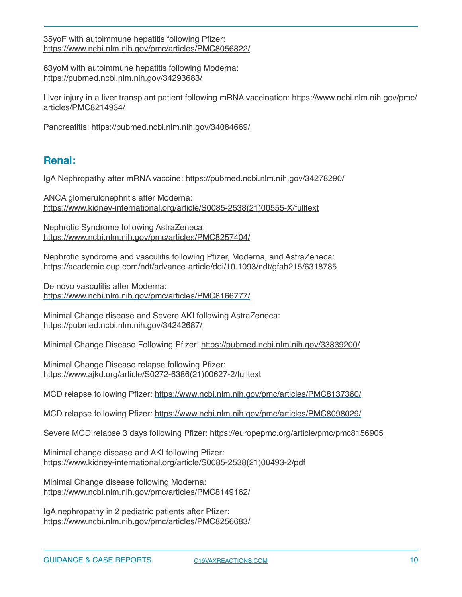35yoF with autoimmune hepatitis following Pfizer: <https://www.ncbi.nlm.nih.gov/pmc/articles/PMC8056822/>

63yoM with autoimmune hepatitis following Moderna: https://pubmed.ncbi.nlm.nih.gov/34293683/

Liver injury in a liver transplant patient following mRNA vaccination: [https://www.ncbi.nlm.nih.gov/pmc/](https://www.ncbi.nlm.nih.gov/pmc/articles/PMC8214934/) [articles/PMC8214934/](https://www.ncbi.nlm.nih.gov/pmc/articles/PMC8214934/)

Pancreatitis:<https://pubmed.ncbi.nlm.nih.gov/34084669/>

#### **Renal:**

IgA Nephropathy after mRNA vaccine: <https://pubmed.ncbi.nlm.nih.gov/34278290/>

ANCA glomerulonephritis after Moderna: [https://www.kidney-international.org/article/S0085-2538\(21\)00555-X/fulltext](https://www.kidney-international.org/article/S0085-2538(21)00555-X/fulltext)

Nephrotic Syndrome following AstraZeneca: <https://www.ncbi.nlm.nih.gov/pmc/articles/PMC8257404/>

Nephrotic syndrome and vasculitis following Pfizer, Moderna, and AstraZeneca: <https://academic.oup.com/ndt/advance-article/doi/10.1093/ndt/gfab215/6318785>

De novo vasculitis after Moderna: https://www.ncbi.nlm.nih.gov/pmc/articles/PMC8166777/

Minimal Change disease and Severe AKI following AstraZeneca: <https://pubmed.ncbi.nlm.nih.gov/34242687/>

Minimal Change Disease Following Pfizer: <https://pubmed.ncbi.nlm.nih.gov/33839200/>

Minimal Change Disease relapse following Pfizer: https://www.ajkd.org/article/S0272-6386(21)00627-2/fulltext

MCD relapse following Pfizer: https://www.ncbi.nlm.nih.gov/pmc/articles/PMC8137360/

MCD relapse following Pfizer: https://www.ncbi.nlm.nih.gov/pmc/articles/PMC8098029/

Severe MCD relapse 3 days following Pfizer:<https://europepmc.org/article/pmc/pmc8156905>

Minimal change disease and AKI following Pfizer: https://www.kidney-international.org/article/S0085-2538(21)00493-2/pdf

Minimal Change disease following Moderna: https://www.ncbi.nlm.nih.gov/pmc/articles/PMC8149162/

IgA nephropathy in 2 pediatric patients after Pfizer: <https://www.ncbi.nlm.nih.gov/pmc/articles/PMC8256683/>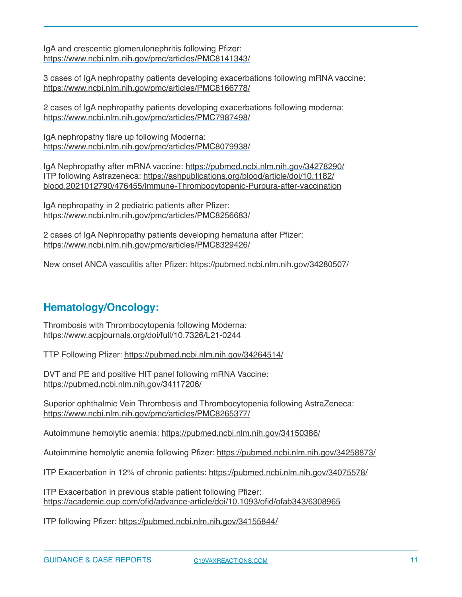IgA and crescentic glomerulonephritis following Pfizer: <https://www.ncbi.nlm.nih.gov/pmc/articles/PMC8141343/>

3 cases of IgA nephropathy patients developing exacerbations following mRNA vaccine: <https://www.ncbi.nlm.nih.gov/pmc/articles/PMC8166778/>

2 cases of IgA nephropathy patients developing exacerbations following moderna: <https://www.ncbi.nlm.nih.gov/pmc/articles/PMC7987498/>

IgA nephropathy flare up following Moderna: <https://www.ncbi.nlm.nih.gov/pmc/articles/PMC8079938/>

IgA Nephropathy after mRNA vaccine: <https://pubmed.ncbi.nlm.nih.gov/34278290/> ITP following Astrazeneca: [https://ashpublications.org/blood/article/doi/10.1182/](https://ashpublications.org/blood/article/doi/10.1182/blood.2021012790/476455/Immune-Thrombocytopenic-Purpura-after-vaccination) [blood.2021012790/476455/Immune-Thrombocytopenic-Purpura-after-vaccination](https://ashpublications.org/blood/article/doi/10.1182/blood.2021012790/476455/Immune-Thrombocytopenic-Purpura-after-vaccination)

IgA nephropathy in 2 pediatric patients after Pfizer: <https://www.ncbi.nlm.nih.gov/pmc/articles/PMC8256683/>

2 cases of IgA Nephropathy patients developing hematuria after Pfizer: <https://www.ncbi.nlm.nih.gov/pmc/articles/PMC8329426/>

New onset ANCA vasculitis after Pfizer:<https://pubmed.ncbi.nlm.nih.gov/34280507/>

## **Hematology/Oncology:**

Thrombosis with Thrombocytopenia following Moderna: <https://www.acpjournals.org/doi/full/10.7326/L21-0244>

TTP Following Pfizer: <https://pubmed.ncbi.nlm.nih.gov/34264514/>

DVT and PE and positive HIT panel following mRNA Vaccine: <https://pubmed.ncbi.nlm.nih.gov/34117206/>

Superior ophthalmic Vein Thrombosis and Thrombocytopenia following AstraZeneca: <https://www.ncbi.nlm.nih.gov/pmc/articles/PMC8265377/>

Autoimmune hemolytic anemia:<https://pubmed.ncbi.nlm.nih.gov/34150386/>

Autoimmine hemolytic anemia following Pfizer:<https://pubmed.ncbi.nlm.nih.gov/34258873/>

ITP Exacerbation in 12% of chronic patients: <https://pubmed.ncbi.nlm.nih.gov/34075578/>

ITP Exacerbation in previous stable patient following Pfizer: <https://academic.oup.com/ofid/advance-article/doi/10.1093/ofid/ofab343/6308965>

ITP following Pfizer: <https://pubmed.ncbi.nlm.nih.gov/34155844/>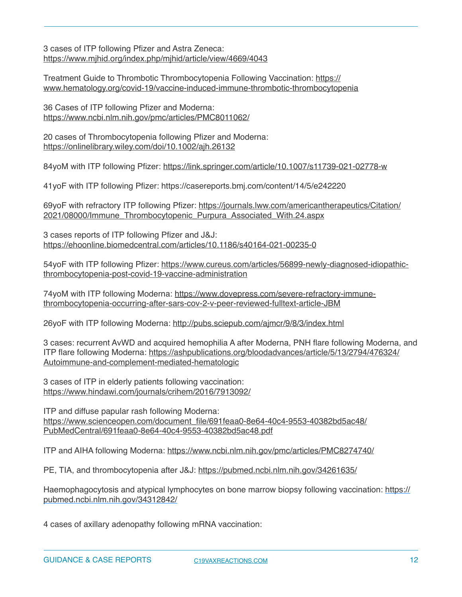3 cases of ITP following Pfizer and Astra Zeneca: <https://www.mjhid.org/index.php/mjhid/article/view/4669/4043>

Treatment Guide to Thrombotic Thrombocytopenia Following Vaccination: [https://](https://www.hematology.org/covid-19/vaccine-induced-immune-thrombotic-thrombocytopenia) [www.hematology.org/covid-19/vaccine-induced-immune-thrombotic-thrombocytopenia](https://www.hematology.org/covid-19/vaccine-induced-immune-thrombotic-thrombocytopenia)

36 Cases of ITP following Pfizer and Moderna: <https://www.ncbi.nlm.nih.gov/pmc/articles/PMC8011062/>

20 cases of Thrombocytopenia following Pfizer and Moderna: <https://onlinelibrary.wiley.com/doi/10.1002/ajh.26132>

84yoM with ITP following Pfizer:<https://link.springer.com/article/10.1007/s11739-021-02778-w>

41yoF with ITP following Pfizer: https://casereports.bmj.com/content/14/5/e242220

[69yoF with refractory ITP following Pfizer: https://journals.lww.com/americantherapeutics/Citation/](https://journals.lww.com/americantherapeutics/Citation/2021/08000/Immune_Thrombocytopenic_Purpura_Associated_With.24.aspx) [2021/08000/Immune\\_Thrombocytopenic\\_Purpura\\_Associated\\_With.24.aspx](https://journals.lww.com/americantherapeutics/Citation/2021/08000/Immune_Thrombocytopenic_Purpura_Associated_With.24.aspx)

3 cases reports of ITP following Pfizer and J&J: <https://ehoonline.biomedcentral.com/articles/10.1186/s40164-021-00235-0>

[54yoF with ITP following Pfizer: https://www.cureus.com/articles/56899-newly-diagnosed-idiopathic](https://www.cureus.com/articles/56899-newly-diagnosed-idiopathic-thrombocytopenia-post-covid-19-vaccine-administration)[thrombocytopenia-post-covid-19-vaccine-administration](https://www.cureus.com/articles/56899-newly-diagnosed-idiopathic-thrombocytopenia-post-covid-19-vaccine-administration)

[74yoM with ITP following Moderna: https://www.dovepress.com/severe-refractory-immune](https://www.dovepress.com/severe-refractory-immune-thrombocytopenia-occurring-after-sars-cov-2-v-peer-reviewed-fulltext-article-JBM)[thrombocytopenia-occurring-after-sars-cov-2-v-peer-reviewed-fulltext-article-JBM](https://www.dovepress.com/severe-refractory-immune-thrombocytopenia-occurring-after-sars-cov-2-v-peer-reviewed-fulltext-article-JBM)

26yoF with ITP following Moderna:<http://pubs.sciepub.com/ajmcr/9/8/3/index.html>

3 cases: recurrent AvWD and acquired hemophilia A after Moderna, PNH flare following Moderna, and [ITP flare following Moderna: https://ashpublications.org/bloodadvances/article/5/13/2794/476324/](https://ashpublications.org/bloodadvances/article/5/13/2794/476324/Autoimmune-and-complement-mediated-hematologic) [Autoimmune-and-complement-mediated-hematologic](https://ashpublications.org/bloodadvances/article/5/13/2794/476324/Autoimmune-and-complement-mediated-hematologic)

3 cases of ITP in elderly patients following vaccination: <https://www.hindawi.com/journals/crihem/2016/7913092/>

ITP and diffuse papular rash following Moderna: [https://www.scienceopen.com/document\\_file/691feaa0-8e64-40c4-9553-40382bd5ac48/](https://www.scienceopen.com/document_file/691feaa0-8e64-40c4-9553-40382bd5ac48/PubMedCentral/691feaa0-8e64-40c4-9553-40382bd5ac48.pdf) [PubMedCentral/691feaa0-8e64-40c4-9553-40382bd5ac48.pdf](https://www.scienceopen.com/document_file/691feaa0-8e64-40c4-9553-40382bd5ac48/PubMedCentral/691feaa0-8e64-40c4-9553-40382bd5ac48.pdf)

ITP and AIHA following Moderna: <https://www.ncbi.nlm.nih.gov/pmc/articles/PMC8274740/>

PE, TIA, and thrombocytopenia after J&J: <https://pubmed.ncbi.nlm.nih.gov/34261635/>

Haemophagocytosis and atypical lymphocytes on bone marrow biopsy following vaccination: https:// pubmed.ncbi.nlm.nih.gov/34312842/

4 cases of axillary adenopathy following mRNA vaccination: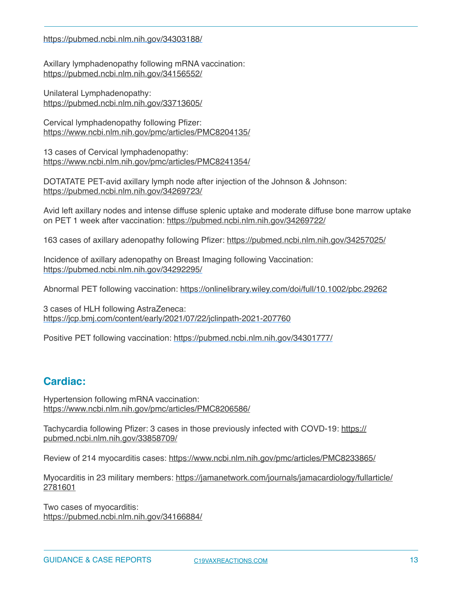#### https://pubmed.ncbi.nlm.nih.gov/34303188/

Axillary lymphadenopathy following mRNA vaccination: <https://pubmed.ncbi.nlm.nih.gov/34156552/>

Unilateral Lymphadenopathy: <https://pubmed.ncbi.nlm.nih.gov/33713605/>

Cervical lymphadenopathy following Pfizer: <https://www.ncbi.nlm.nih.gov/pmc/articles/PMC8204135/>

13 cases of Cervical lymphadenopathy: <https://www.ncbi.nlm.nih.gov/pmc/articles/PMC8241354/>

DOTATATE PET-avid axillary lymph node after injection of the Johnson & Johnson: <https://pubmed.ncbi.nlm.nih.gov/34269723/>

Avid left axillary nodes and intense diffuse splenic uptake and moderate diffuse bone marrow uptake on PET 1 week after vaccination:<https://pubmed.ncbi.nlm.nih.gov/34269722/>

163 cases of axillary adenopathy following Pfizer: <https://pubmed.ncbi.nlm.nih.gov/34257025/>

Incidence of axillary adenopathy on Breast Imaging following Vaccination: https://pubmed.ncbi.nlm.nih.gov/34292295/

Abnormal PET following vaccination: https://onlinelibrary.wiley.com/doi/full/10.1002/pbc.29262

3 cases of HLH following AstraZeneca: https://jcp.bmj.com/content/early/2021/07/22/jclinpath-2021-207760

Positive PET following vaccination: https://pubmed.ncbi.nlm.nih.gov/34301777/

#### **Cardiac:**

Hypertension following mRNA vaccination: <https://www.ncbi.nlm.nih.gov/pmc/articles/PMC8206586/>

Tachycardia following Pfizer: 3 cases in those previously infected with COVD-19: [https://](https://pubmed.ncbi.nlm.nih.gov/33858709/) [pubmed.ncbi.nlm.nih.gov/33858709/](https://pubmed.ncbi.nlm.nih.gov/33858709/)

Review of 214 myocarditis cases: <https://www.ncbi.nlm.nih.gov/pmc/articles/PMC8233865/>

Myocarditis in 23 military members: [https://jamanetwork.com/journals/jamacardiology/fullarticle/](https://jamanetwork.com/journals/jamacardiology/fullarticle/2781601) [2781601](https://jamanetwork.com/journals/jamacardiology/fullarticle/2781601)

Two cases of myocarditis: <https://pubmed.ncbi.nlm.nih.gov/34166884/>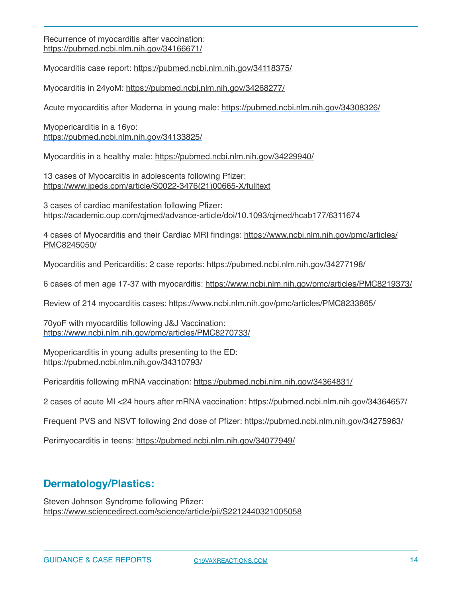Recurrence of myocarditis after vaccination: <https://pubmed.ncbi.nlm.nih.gov/34166671/>

Myocarditis case report:<https://pubmed.ncbi.nlm.nih.gov/34118375/>

Myocarditis in 24yoM:<https://pubmed.ncbi.nlm.nih.gov/34268277/>

Acute myocarditis after Moderna in young male: https://pubmed.ncbi.nlm.nih.gov/34308326/

Myopericarditis in a 16yo: https://pubmed.ncbi.nlm.nih.gov/34133825/

Myocarditis in a healthy male: <https://pubmed.ncbi.nlm.nih.gov/34229940/>

13 cases of Myocarditis in adolescents following Pfizer: [https://www.jpeds.com/article/S0022-3476\(21\)00665-X/fulltext](https://www.jpeds.com/article/S0022-3476(21)00665-X/fulltext)

3 cases of cardiac manifestation following Pfizer: https://academic.oup.com/qjmed/advance-article/doi/10.1093/qjmed/hcab177/6311674

4 cases of Myocarditis and their Cardiac MRI findings: [https://www.ncbi.nlm.nih.gov/pmc/articles/](https://www.ncbi.nlm.nih.gov/pmc/articles/PMC8245050/) [PMC8245050/](https://www.ncbi.nlm.nih.gov/pmc/articles/PMC8245050/)

Myocarditis and Pericarditis: 2 case reports:<https://pubmed.ncbi.nlm.nih.gov/34277198/>

6 cases of men age 17-37 with myocarditis:<https://www.ncbi.nlm.nih.gov/pmc/articles/PMC8219373/>

Review of 214 myocarditis cases: <https://www.ncbi.nlm.nih.gov/pmc/articles/PMC8233865/>

70yoF with myocarditis following J&J Vaccination: https://www.ncbi.nlm.nih.gov/pmc/articles/PMC8270733/

Myopericarditis in young adults presenting to the ED: https://pubmed.ncbi.nlm.nih.gov/34310793/

Pericarditis following mRNA vaccination: <https://pubmed.ncbi.nlm.nih.gov/34364831/>

2 cases of acute MI <24 hours after mRNA vaccination:<https://pubmed.ncbi.nlm.nih.gov/34364657/>

Frequent PVS and NSVT following 2nd dose of Pfizer: <https://pubmed.ncbi.nlm.nih.gov/34275963/>

Perimyocarditis in teens:<https://pubmed.ncbi.nlm.nih.gov/34077949/>

#### **Dermatology/Plastics:**

Steven Johnson Syndrome following Pfizer: <https://www.sciencedirect.com/science/article/pii/S2212440321005058>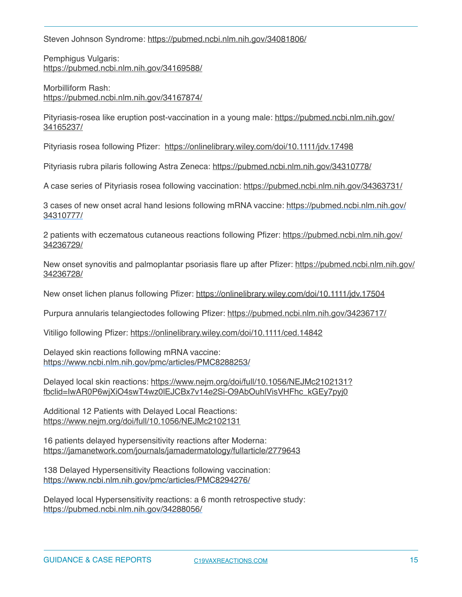Steven Johnson Syndrome: <https://pubmed.ncbi.nlm.nih.gov/34081806/>

Pemphigus Vulgaris: <https://pubmed.ncbi.nlm.nih.gov/34169588/>

Morbilliform Rash: <https://pubmed.ncbi.nlm.nih.gov/34167874/>

Pityriasis-rosea like eruption post-vaccination in a young male: [https://pubmed.ncbi.nlm.nih.gov/](https://pubmed.ncbi.nlm.nih.gov/34165237/) [34165237/](https://pubmed.ncbi.nlm.nih.gov/34165237/)

Pityriasis rosea following Pfizer: <https://onlinelibrary.wiley.com/doi/10.1111/jdv.17498>

Pityriasis rubra pilaris following Astra Zeneca: <https://pubmed.ncbi.nlm.nih.gov/34310778/>

A case series of Pityriasis rosea following vaccination: <https://pubmed.ncbi.nlm.nih.gov/34363731/>

3 cases of new onset acral hand lesions following mRNA vaccine: https://pubmed.ncbi.nlm.nih.gov/ 34310777/

2 patients with eczematous cutaneous reactions following Pfizer: [https://pubmed.ncbi.nlm.nih.gov/](https://pubmed.ncbi.nlm.nih.gov/34236729/) [34236729/](https://pubmed.ncbi.nlm.nih.gov/34236729/)

New onset synovitis and palmoplantar psoriasis flare up after Pfizer: [https://pubmed.ncbi.nlm.nih.gov/](https://pubmed.ncbi.nlm.nih.gov/34236728/) [34236728/](https://pubmed.ncbi.nlm.nih.gov/34236728/)

New onset lichen planus following Pfizer: <https://onlinelibrary.wiley.com/doi/10.1111/jdv.17504>

Purpura annularis telangiectodes following Pfizer: <https://pubmed.ncbi.nlm.nih.gov/34236717/>

Vitiligo following Pfizer: <https://onlinelibrary.wiley.com/doi/10.1111/ced.14842>

Delayed skin reactions following mRNA vaccine: https://www.ncbi.nlm.nih.gov/pmc/articles/PMC8288253/

[Delayed local skin reactions: https://www.nejm.org/doi/full/10.1056/NEJMc2102131?](https://www.nejm.org/doi/full/10.1056/NEJMc2102131?fbclid=IwAR0P6wjXiO4swT4wz0lEJCBx7v14e2Si-O9AbOuhlVisVHFhc_kGEy7pyj0) [fbclid=IwAR0P6wjXiO4swT4wz0lEJCBx7v14e2Si-O9AbOuhlVisVHFhc\\_kGEy7pyj0](https://www.nejm.org/doi/full/10.1056/NEJMc2102131?fbclid=IwAR0P6wjXiO4swT4wz0lEJCBx7v14e2Si-O9AbOuhlVisVHFhc_kGEy7pyj0)

Additional 12 Patients with Delayed Local Reactions: <https://www.nejm.org/doi/full/10.1056/NEJMc2102131>

16 patients delayed hypersensitivity reactions after Moderna: <https://jamanetwork.com/journals/jamadermatology/fullarticle/2779643>

138 Delayed Hypersensitivity Reactions following vaccination: https://www.ncbi.nlm.nih.gov/pmc/articles/PMC8294276/

Delayed local Hypersensitivity reactions: a 6 month retrospective study: https://pubmed.ncbi.nlm.nih.gov/34288056/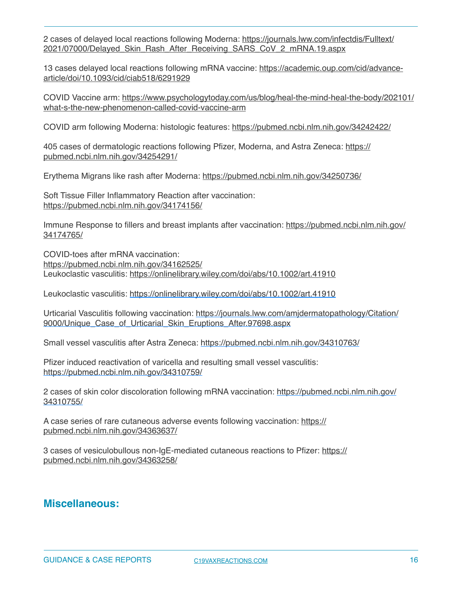[2 cases of delayed local reactions following Moderna: https://journals.lww.com/infectdis/Fulltext/](https://journals.lww.com/infectdis/Fulltext/2021/07000/Delayed_Skin_Rash_After_Receiving_SARS_CoV_2_mRNA.19.aspx) [2021/07000/Delayed\\_Skin\\_Rash\\_After\\_Receiving\\_SARS\\_CoV\\_2\\_mRNA.19.aspx](https://journals.lww.com/infectdis/Fulltext/2021/07000/Delayed_Skin_Rash_After_Receiving_SARS_CoV_2_mRNA.19.aspx)

13 cases delayed local reactions following mRNA vaccine: [https://academic.oup.com/cid/advance](https://academic.oup.com/cid/advance-article/doi/10.1093/cid/ciab518/6291929)[article/doi/10.1093/cid/ciab518/6291929](https://academic.oup.com/cid/advance-article/doi/10.1093/cid/ciab518/6291929)

[COVID Vaccine arm: https://www.psychologytoday.com/us/blog/heal-the-mind-heal-the-body/202101/](https://www.psychologytoday.com/us/blog/heal-the-mind-heal-the-body/202101/what-s-the-new-phenomenon-called-covid-vaccine-arm) [what-s-the-new-phenomenon-called-covid-vaccine-arm](https://www.psychologytoday.com/us/blog/heal-the-mind-heal-the-body/202101/what-s-the-new-phenomenon-called-covid-vaccine-arm)

COVID arm following Moderna: histologic features: <https://pubmed.ncbi.nlm.nih.gov/34242422/>

405 cases of dermatologic reactions following Pfizer, Moderna, and Astra Zeneca: [https://](https://pubmed.ncbi.nlm.nih.gov/34254291/) [pubmed.ncbi.nlm.nih.gov/34254291/](https://pubmed.ncbi.nlm.nih.gov/34254291/)

Erythema Migrans like rash after Moderna: <https://pubmed.ncbi.nlm.nih.gov/34250736/>

Soft Tissue Filler Inflammatory Reaction after vaccination: <https://pubmed.ncbi.nlm.nih.gov/34174156/>

Immune Response to fillers and breast implants after vaccination: [https://pubmed.ncbi.nlm.nih.gov/](https://pubmed.ncbi.nlm.nih.gov/34174765/) [34174765/](https://pubmed.ncbi.nlm.nih.gov/34174765/)

COVID-toes after mRNA vaccination: <https://pubmed.ncbi.nlm.nih.gov/34162525/> Leukoclastic vasculitis: <https://onlinelibrary.wiley.com/doi/abs/10.1002/art.41910>

Leukoclastic vasculitis: <https://onlinelibrary.wiley.com/doi/abs/10.1002/art.41910>

Urticarial Vasculitis following vaccination: https://journals.lww.com/amjdermatopathology/Citation/ 9000/Unique\_Case\_of\_Urticarial\_Skin\_Eruptions\_After.97698.aspx

Small vessel vasculitis after Astra Zeneca: https://pubmed.ncbi.nlm.nih.gov/34310763/

Pfizer induced reactivation of varicella and resulting small vessel vasculitis: https://pubmed.ncbi.nlm.nih.gov/34310759/

2 cases of skin color discoloration following mRNA vaccination: https://pubmed.ncbi.nlm.nih.gov/ 34310755/

A case series of rare cutaneous adverse events following vaccination: [https://](https://pubmed.ncbi.nlm.nih.gov/34363637/) [pubmed.ncbi.nlm.nih.gov/34363637/](https://pubmed.ncbi.nlm.nih.gov/34363637/)

3 cases of vesiculobullous non-IgE-mediated cutaneous reactions to Pfizer: [https://](https://pubmed.ncbi.nlm.nih.gov/34363258/) [pubmed.ncbi.nlm.nih.gov/34363258/](https://pubmed.ncbi.nlm.nih.gov/34363258/)

#### **Miscellaneous:**